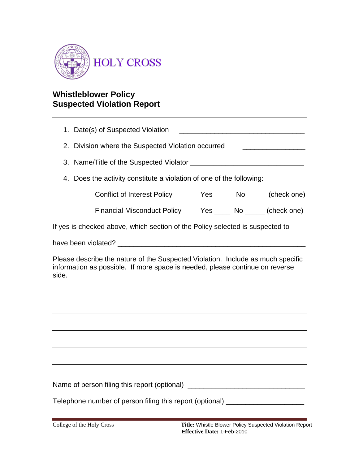

## **Whistleblower Policy Suspected Violation Report**

1. Date(s) of Suspected Violation \_\_\_\_\_\_\_\_\_\_\_\_\_\_\_\_\_\_\_\_\_\_\_\_\_\_\_\_\_\_\_\_ 2. Division where the Suspected Violation occurred \_\_\_\_\_\_\_\_\_\_\_\_\_\_\_\_\_\_\_\_\_\_\_\_\_\_\_\_\_ 3. Name/Title of the Suspected Violator \_\_\_\_\_\_\_\_\_\_\_\_\_\_\_\_\_\_\_\_\_\_\_\_\_\_\_\_\_ 4. Does the activity constitute a violation of one of the following: Conflict of Interest Policy Yes\_\_\_\_\_ No \_\_\_\_\_ (check one) Financial Misconduct Policy Yes \_\_\_\_ No \_\_\_\_\_ (check one) If yes is checked above, which section of the Policy selected is suspected to have been violated? **Example 2018** Please describe the nature of the Suspected Violation. Include as much specific information as possible. If more space is needed, please continue on reverse side. Name of person filing this report (optional) \_\_\_\_\_\_\_\_\_\_\_\_\_\_\_\_\_\_\_\_\_\_\_\_\_\_\_\_\_\_\_\_\_\_\_ Telephone number of person filing this report (optional) \_\_\_\_\_\_\_\_\_\_\_\_\_\_\_\_\_\_\_\_\_\_\_